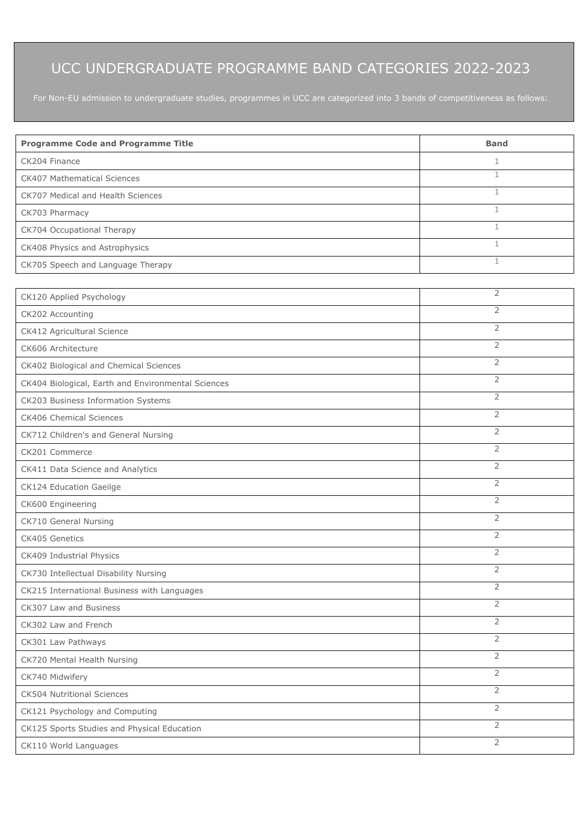## UCC UNDERGRADUATE PROGRAMME BAND CATEGORIES 2022-2023

| <b>Programme Code and Programme Title</b>          | <b>Band</b>    |  |
|----------------------------------------------------|----------------|--|
| CK204 Finance                                      | 1              |  |
| CK407 Mathematical Sciences                        | $\mathbf{1}$   |  |
| CK707 Medical and Health Sciences                  | $\mathbf{1}$   |  |
| CK703 Pharmacy                                     | $\mathbf{1}$   |  |
| CK704 Occupational Therapy                         | $\mathbf{1}$   |  |
| CK408 Physics and Astrophysics                     | $\mathbf{1}$   |  |
| CK705 Speech and Language Therapy                  | $\mathbf{1}$   |  |
|                                                    |                |  |
| CK120 Applied Psychology                           | $\overline{2}$ |  |
| CK202 Accounting                                   | $\overline{2}$ |  |
| CK412 Agricultural Science                         | $\overline{2}$ |  |
| CK606 Architecture                                 | $\overline{2}$ |  |
| CK402 Biological and Chemical Sciences             | $\overline{2}$ |  |
| CK404 Biological, Earth and Environmental Sciences | $\overline{2}$ |  |
| CK203 Business Information Systems                 | $\overline{2}$ |  |
| CK406 Chemical Sciences                            | $\overline{2}$ |  |
| CK712 Children's and General Nursing               | $\overline{2}$ |  |
| CK201 Commerce                                     | $\overline{2}$ |  |
| CK411 Data Science and Analytics                   | $\overline{2}$ |  |
| CK124 Education Gaeilge                            | $\overline{2}$ |  |
| CK600 Engineering                                  | $\overline{2}$ |  |
| CK710 General Nursing                              | $\overline{2}$ |  |
| CK405 Genetics                                     | $\overline{2}$ |  |
| CK409 Industrial Physics                           | $\overline{2}$ |  |
| CK730 Intellectual Disability Nursing              | $\overline{2}$ |  |
| CK215 International Business with Languages        | $\overline{2}$ |  |
| CK307 Law and Business                             | $\overline{2}$ |  |
| CK302 Law and French                               | $\overline{2}$ |  |
| CK301 Law Pathways                                 | $\overline{2}$ |  |
| CK720 Mental Health Nursing                        | $\overline{2}$ |  |
| CK740 Midwifery                                    | $\overline{2}$ |  |
| <b>CK504 Nutritional Sciences</b>                  | $\overline{2}$ |  |
| CK121 Psychology and Computing                     | $\overline{2}$ |  |
| CK125 Sports Studies and Physical Education        | $\overline{2}$ |  |
| CK110 World Languages                              | $\overline{2}$ |  |